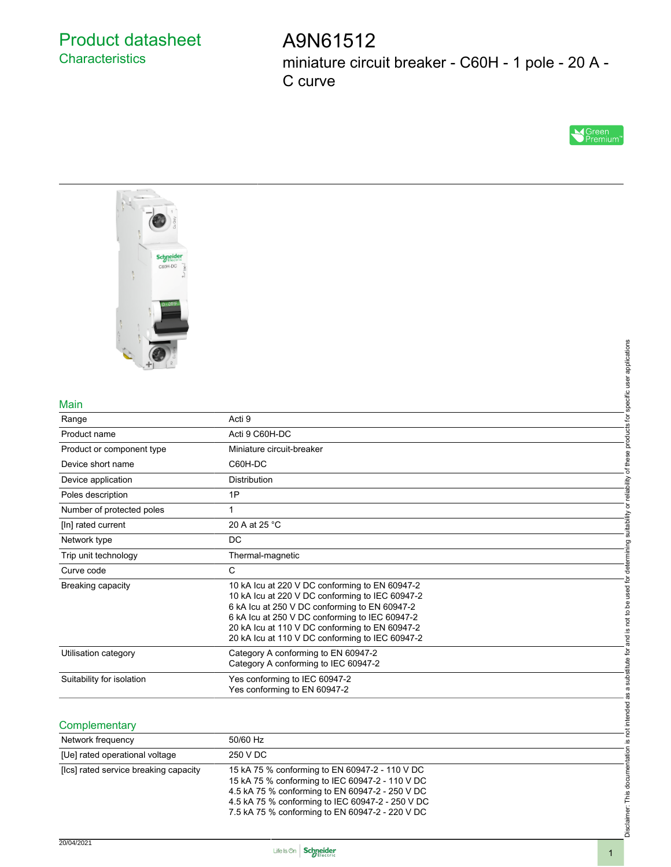### Product datasheet **Characteristics**

## A9N61512 miniature circuit breaker - C60H - 1 pole - 20 A - C curve





#### Main

|                                       | applications                                                                                                                                                                                                                                                                                                                              |
|---------------------------------------|-------------------------------------------------------------------------------------------------------------------------------------------------------------------------------------------------------------------------------------------------------------------------------------------------------------------------------------------|
| Main                                  | specific user                                                                                                                                                                                                                                                                                                                             |
| Range                                 | tor<br>Acti 9                                                                                                                                                                                                                                                                                                                             |
| Product name                          | products<br>Acti 9 C60H-DC                                                                                                                                                                                                                                                                                                                |
| Product or component type             | Miniature circuit-breaker                                                                                                                                                                                                                                                                                                                 |
| Device short name                     | of these<br>C60H-DC                                                                                                                                                                                                                                                                                                                       |
| Device application                    | Distribution                                                                                                                                                                                                                                                                                                                              |
| Poles description                     | or reliability<br>1P                                                                                                                                                                                                                                                                                                                      |
| Number of protected poles             | 1                                                                                                                                                                                                                                                                                                                                         |
| [In] rated current                    | suitability<br>20 A at 25 °C                                                                                                                                                                                                                                                                                                              |
| Network type                          | DC                                                                                                                                                                                                                                                                                                                                        |
| Trip unit technology                  | determining<br>Thermal-magnetic                                                                                                                                                                                                                                                                                                           |
| Curve code                            | $\mathbf C$                                                                                                                                                                                                                                                                                                                               |
| <b>Breaking capacity</b>              | is not to be used for<br>10 kA Icu at 220 V DC conforming to EN 60947-2<br>10 kA Icu at 220 V DC conforming to IEC 60947-2<br>6 kA lcu at 250 V DC conforming to EN 60947-2<br>6 kA lcu at 250 V DC conforming to IEC 60947-2<br>20 kA Icu at 110 V DC conforming to EN 60947-2<br>20 kA Icu at 110 V DC conforming to IEC 60947-2<br>Pue |
| Utilisation category                  | a substitute for<br>Category A conforming to EN 60947-2<br>Category A conforming to IEC 60947-2                                                                                                                                                                                                                                           |
| Suitability for isolation             | Yes conforming to IEC 60947-2<br>Yes conforming to EN 60947-2<br>æ                                                                                                                                                                                                                                                                        |
| Complementary                         | not intended                                                                                                                                                                                                                                                                                                                              |
| Network frequency                     | 50/60 Hz<br><u>.ഗ</u>                                                                                                                                                                                                                                                                                                                     |
| [Ue] rated operational voltage        | 250 V DC                                                                                                                                                                                                                                                                                                                                  |
| [Ics] rated service breaking capacity | Disclaimer: This documentation<br>15 kA 75 % conforming to EN 60947-2 - 110 V DC<br>15 kA 75 % conforming to IEC 60947-2 - 110 V DC<br>4.5 kA 75 % conforming to EN 60947-2 - 250 V DC<br>4.5 kA 75 % conforming to IEC 60947-2 - 250 V DC<br>7.5 kA 75 % conforming to EN 60947-2 - 220 V DC                                             |

#### **Complementary**

| Network frequency                     | 50/60 Hz                                                                                                                                                                                                                                                    |
|---------------------------------------|-------------------------------------------------------------------------------------------------------------------------------------------------------------------------------------------------------------------------------------------------------------|
| [Ue] rated operational voltage        | 250 V DC                                                                                                                                                                                                                                                    |
| [Ics] rated service breaking capacity | 15 kA 75 % conforming to EN 60947-2 - 110 V DC<br>15 kA 75 % conforming to IEC 60947-2 - 110 V DC<br>4.5 kA 75 % conforming to EN 60947-2 - 250 V DC<br>4.5 kA 75 % conforming to IEC 60947-2 - 250 V DC<br>7.5 kA 75 % conforming to EN 60947-2 - 220 V DC |

Disclaimer: This documentation is not intended as a substitute for and is not to be used for determining suitability or reliability of these products for specific user applications